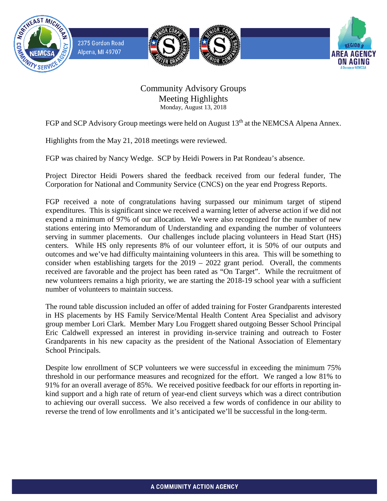

## Community Advisory Groups Meeting Highlights Monday, August 13, 2018

FGP and SCP Advisory Group meetings were held on August 13<sup>th</sup> at the NEMCSA Alpena Annex.

Highlights from the May 21, 2018 meetings were reviewed.

FGP was chaired by Nancy Wedge. SCP by Heidi Powers in Pat Rondeau's absence.

Project Director Heidi Powers shared the feedback received from our federal funder, The Corporation for National and Community Service (CNCS) on the year end Progress Reports.

FGP received a note of congratulations having surpassed our minimum target of stipend expenditures. This is significant since we received a warning letter of adverse action if we did not expend a minimum of 97% of our allocation. We were also recognized for the number of new stations entering into Memorandum of Understanding and expanding the number of volunteers serving in summer placements. Our challenges include placing volunteers in Head Start (HS) centers. While HS only represents 8% of our volunteer effort, it is 50% of our outputs and outcomes and we've had difficulty maintaining volunteers in this area. This will be something to consider when establishing targets for the 2019 – 2022 grant period. Overall, the comments received are favorable and the project has been rated as "On Target". While the recruitment of new volunteers remains a high priority, we are starting the 2018-19 school year with a sufficient number of volunteers to maintain success.

The round table discussion included an offer of added training for Foster Grandparents interested in HS placements by HS Family Service/Mental Health Content Area Specialist and advisory group member Lori Clark. Member Mary Lou Froggett shared outgoing Besser School Principal Eric Caldwell expressed an interest in providing in-service training and outreach to Foster Grandparents in his new capacity as the president of the National Association of Elementary School Principals.

Despite low enrollment of SCP volunteers we were successful in exceeding the minimum 75% threshold in our performance measures and recognized for the effort. We ranged a low 81% to 91% for an overall average of 85%. We received positive feedback for our efforts in reporting inkind support and a high rate of return of year-end client surveys which was a direct contribution to achieving our overall success. We also received a few words of confidence in our ability to reverse the trend of low enrollments and it's anticipated we'll be successful in the long-term.